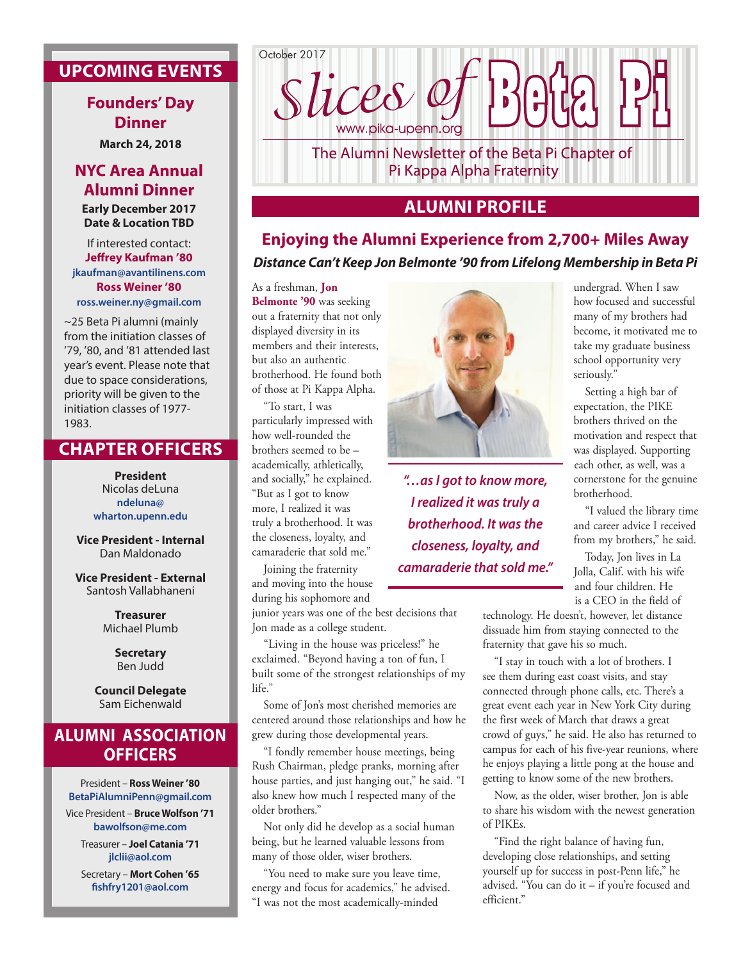# **UPCOMING EVENTS**

#### **Founders' Day Dinner**

**March 24, 2018**

## **NYC Area Annual Alumni Dinner**

**Early December 2017 Date & Location TBD**

If interested contact: **Jeffrey Kaufman '80 jkaufman@avantilinens.com Ross Weiner '80 ross.weiner.ny@gmail.com** 

~25 Beta Pi alumni (mainly from the initiation classes of '79, '80, and '81 attended last year's event. Please note that due to space considerations, priority will be given to the initiation classes of 1977- 1983.

### **CHAPTER OFFICERS**

**President** Nicolas deLuna **ndeluna@ wharton.upenn.edu**

**Vice President - Internal** Dan Maldonado

**Vice President - External** Santosh Vallabhaneni

> **Treasurer** Michael Plumb

> > **Secretary** Ben Judd

**Council Delegate** Sam Eichenwald

# **ALUMNI ASSOCIATION OFFICERS**

President – **Ross Weiner '80 BetaPiAlumniPenn@gmail.com** Vice President – **Bruce Wolfson '71 bawolfson@me.com** Treasurer – **Joel Catania '71 jlclii@aol.com**

> Secretary – **Mort Cohen '65 fishfry1201@aol.com**



# **ALUMNI PROFILE**

# **Enjoying the Alumni Experience from 2,700+ Miles Away** *Distance Can't Keep Jon Belmonte '90 from Lifelong Membership in Beta Pi*

As a freshman, **Jon Belmonte '90** was seeking out a fraternity that not only displayed diversity in its members and their interests, but also an authentic brotherhood. He found both of those at Pi Kappa Alpha.

"To start, I was particularly impressed with how well-rounded the brothers seemed to be – academically, athletically, and socially," he explained. "But as I got to know more, I realized it was truly a brotherhood. It was the closeness, loyalty, and camaraderie that sold me."

Joining the fraternity and moving into the house during his sophomore and

junior years was one of the best decisions that Jon made as a college student.

"Living in the house was priceless!" he exclaimed. "Beyond having a ton of fun, I built some of the strongest relationships of my life."

Some of Jon's most cherished memories are centered around those relationships and how he grew during those developmental years.

"I fondly remember house meetings, being Rush Chairman, pledge pranks, morning after house parties, and just hanging out," he said. "I also knew how much I respected many of the older brothers."

Not only did he develop as a social human being, but he learned valuable lessons from many of those older, wiser brothers.

"You need to make sure you leave time, energy and focus for academics," he advised. "I was not the most academically-minded



*"…as I got to know more, I realized it was truly a brotherhood. It was the closeness, loyalty, and camaraderie that sold me."*

undergrad. When I saw how focused and successful many of my brothers had become, it motivated me to take my graduate business school opportunity very seriously."

Setting a high bar of expectation, the PIKE brothers thrived on the motivation and respect that was displayed. Supporting each other, as well, was a cornerstone for the genuine brotherhood.

"I valued the library time and career advice I received from my brothers," he said.

Today, Jon lives in La Jolla, Calif. with his wife and four children. He is a CEO in the field of

technology. He doesn't, however, let distance dissuade him from staying connected to the fraternity that gave his so much.

"I stay in touch with a lot of brothers. I see them during east coast visits, and stay connected through phone calls, etc. There's a great event each year in New York City during the first week of March that draws a great crowd of guys," he said. He also has returned to campus for each of his five-year reunions, where he enjoys playing a little pong at the house and getting to know some of the new brothers.

Now, as the older, wiser brother, Jon is able to share his wisdom with the newest generation of PIKEs.

"Find the right balance of having fun, developing close relationships, and setting yourself up for success in post-Penn life," he advised. "You can do it – if you're focused and efficient."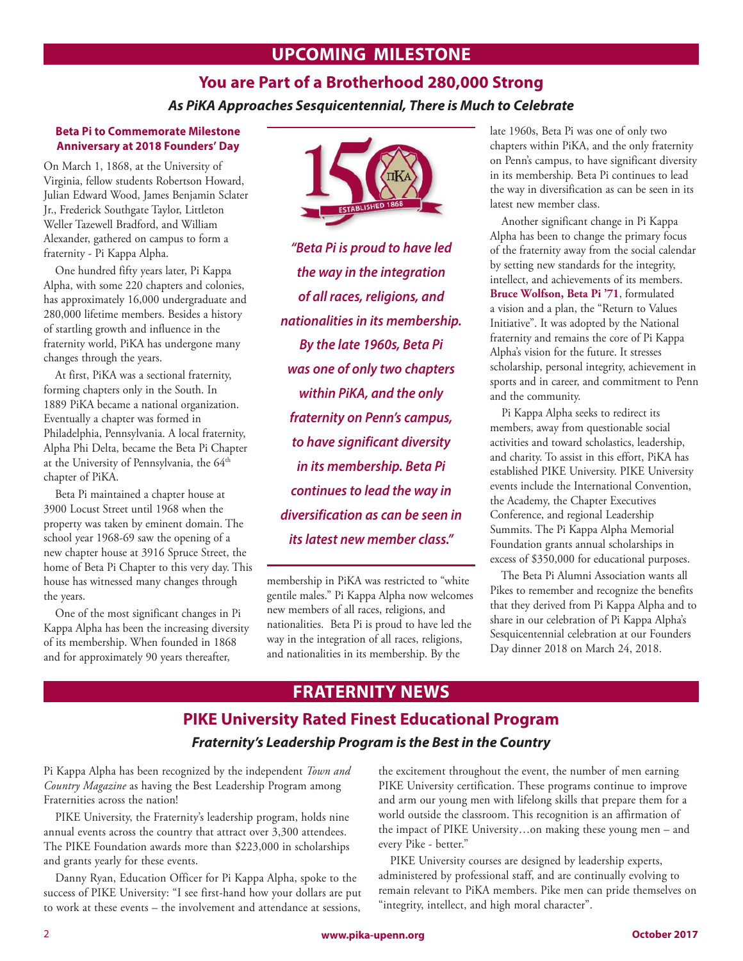#### **UPCOMING MILESTONE**

# **You are Part of a Brotherhood 280,000 Strong** *As PiKA Approaches Sesquicentennial, There is Much to Celebrate*

#### **Beta Pi to Commemorate Milestone Anniversary at 2018 Founders' Day**

On March 1, 1868, at the University of Virginia, fellow students Robertson Howard, Julian Edward Wood, James Benjamin Sclater Jr., Frederick Southgate Taylor, Littleton Weller Tazewell Bradford, and William Alexander, gathered on campus to form a fraternity - Pi Kappa Alpha.

One hundred fifty years later, Pi Kappa Alpha, with some 220 chapters and colonies, has approximately 16,000 undergraduate and 280,000 lifetime members. Besides a history of startling growth and influence in the fraternity world, PiKA has undergone many changes through the years.

At first, PiKA was a sectional fraternity, forming chapters only in the South. In 1889 PiKA became a national organization. Eventually a chapter was formed in Philadelphia, Pennsylvania. A local fraternity, Alpha Phi Delta, became the Beta Pi Chapter at the University of Pennsylvania, the 64<sup>th</sup> chapter of PiKA.

Beta Pi maintained a chapter house at 3900 Locust Street until 1968 when the property was taken by eminent domain. The school year 1968-69 saw the opening of a new chapter house at 3916 Spruce Street, the home of Beta Pi Chapter to this very day. This house has witnessed many changes through the years.

One of the most significant changes in Pi Kappa Alpha has been the increasing diversity of its membership. When founded in 1868 and for approximately 90 years thereafter,



*"Beta Pi is proud to have led the way in the integration of all races, religions, and nationalities in its membership. By the late 1960s, Beta Pi was one of only two chapters within PiKA, and the only fraternity on Penn's campus, to have significant diversity in its membership. Beta Pi continues to lead the way in diversification as can be seen in its latest new member class."*

membership in PiKA was restricted to "white gentile males." Pi Kappa Alpha now welcomes new members of all races, religions, and nationalities. Beta Pi is proud to have led the way in the integration of all races, religions, and nationalities in its membership. By the

late 1960s, Beta Pi was one of only two chapters within PiKA, and the only fraternity on Penn's campus, to have significant diversity in its membership. Beta Pi continues to lead the way in diversification as can be seen in its latest new member class.

Another significant change in Pi Kappa Alpha has been to change the primary focus of the fraternity away from the social calendar by setting new standards for the integrity, intellect, and achievements of its members. **Bruce Wolfson, Beta Pi '71**, formulated a vision and a plan, the "Return to Values Initiative". It was adopted by the National fraternity and remains the core of Pi Kappa Alpha's vision for the future. It stresses scholarship, personal integrity, achievement in sports and in career, and commitment to Penn and the community.

Pi Kappa Alpha seeks to redirect its members, away from questionable social activities and toward scholastics, leadership, and charity. To assist in this effort, PiKA has established PIKE University. PIKE University events include the International Convention, the Academy, the Chapter Executives Conference, and regional Leadership Summits. The Pi Kappa Alpha Memorial Foundation grants annual scholarships in excess of \$350,000 for educational purposes.

The Beta Pi Alumni Association wants all Pikes to remember and recognize the benefits that they derived from Pi Kappa Alpha and to share in our celebration of Pi Kappa Alpha's Sesquicentennial celebration at our Founders Day dinner 2018 on March 24, 2018.

# **FRATERNITY NEWS**

# **PIKE University Rated Finest Educational Program** *Fraternity's Leadership Program is the Best in the Country*

Pi Kappa Alpha has been recognized by the independent *Town and Country Magazine* as having the Best Leadership Program among Fraternities across the nation!

PIKE University, the Fraternity's leadership program, holds nine annual events across the country that attract over 3,300 attendees. The PIKE Foundation awards more than \$223,000 in scholarships and grants yearly for these events.

Danny Ryan, Education Officer for Pi Kappa Alpha, spoke to the success of PIKE University: "I see first-hand how your dollars are put to work at these events – the involvement and attendance at sessions, the excitement throughout the event, the number of men earning PIKE University certification. These programs continue to improve and arm our young men with lifelong skills that prepare them for a world outside the classroom. This recognition is an affirmation of the impact of PIKE University…on making these young men – and every Pike - better."

PIKE University courses are designed by leadership experts, administered by professional staff, and are continually evolving to remain relevant to PiKA members. Pike men can pride themselves on "integrity, intellect, and high moral character".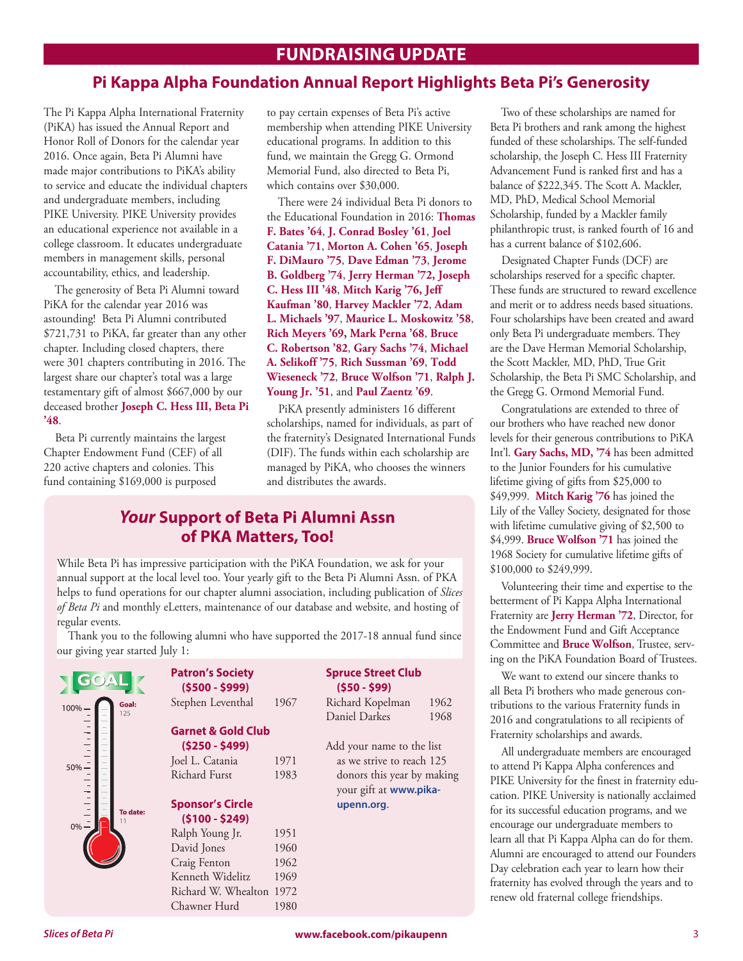## **FUNDRAISING UPDATE**

#### **Pi Kappa Alpha Foundation Annual Report Highlights Beta Pi's Generosity**

The Pi Kappa Alpha International Fraternity (PiKA) has issued the Annual Report and Honor Roll of Donors for the calendar year 2016. Once again, Beta Pi Alumni have made major contributions to PiKA's ability to service and educate the individual chapters and undergraduate members, including PIKE University. PIKE University provides an educational experience not available in a college classroom. It educates undergraduate members in management skills, personal accountability, ethics, and leadership.

The generosity of Beta Pi Alumni toward PiKA for the calendar year 2016 was astounding! Beta Pi Alumni contributed \$721,731 to PiKA, far greater than any other chapter. Including closed chapters, there were 301 chapters contributing in 2016. The largest share our chapter's total was a large testamentary gift of almost \$667,000 by our deceased brother **Joseph C. Hess III, Beta Pi '48**.

Beta Pi currently maintains the largest Chapter Endowment Fund (CEF) of all 220 active chapters and colonies. This fund containing \$169,000 is purposed

to pay certain expenses of Beta Pi's active membership when attending PIKE University educational programs. In addition to this fund, we maintain the Gregg G. Ormond Memorial Fund, also directed to Beta Pi, which contains over \$30,000.

There were 24 individual Beta Pi donors to the Educational Foundation in 2016: **Thomas F. Bates '64**, **J. Conrad Bosley '61**, **Joel Catania '71**, **Morton A. Cohen '65**, **Joseph F. DiMauro '75**, **Dave Edman '73**, **Jerome B. Goldberg '74**, **Jerry Herman '72, Joseph C. Hess III '48**, **Mitch Karig '76, Jeff Kaufman '80**, **Harvey Mackler '72**, **Adam L. Michaels '97**, **Maurice L. Moskowitz '58**, **Rich Meyers '69, Mark Perna '68**, **Bruce C. Robertson '82**, **Gary Sachs '74**, **Michael A. Selikoff '75**, **Rich Sussman '69**, **Todd Wieseneck '72**, **Bruce Wolfson '71**, **Ralph J. Young Jr. '51**, and **Paul Zaentz '69**.

PiKA presently administers 16 different scholarships, named for individuals, as part of the fraternity's Designated International Funds (DIF). The funds within each scholarship are managed by PiKA, who chooses the winners and distributes the awards.

#### *Your* **Support of Beta Pi Alumni Assn of PKA Matters, Too!**

While Beta Pi has impressive participation with the PiKA Foundation, we ask for your annual support at the local level too. Your yearly gift to the Beta Pi Alumni Assn. of PKA helps to fund operations for our chapter alumni association, including publication of *Slices of Beta Pi* and monthly eLetters, maintenance of our database and website, and hosting of regular events.

Thank you to the following alumni who have supported the 2017-18 annual fund since our giving year started July 1:

|                           | <b>Patron's Society</b><br>$(5500 - 5999)$ |      | <b>Spruce Street Club</b><br>$(550 - 599)$ |      |
|---------------------------|--------------------------------------------|------|--------------------------------------------|------|
| Goal:<br>$100% -$         | Stephen Leventhal                          | 1967 | Richard Kopelman                           | 1962 |
| 125                       |                                            |      | Daniel Darkes                              | 1968 |
| $\frac{1}{1}$             | <b>Garnet &amp; Gold Club</b>              |      |                                            |      |
| $50%$ –                   | $($250 - $499)$                            |      | Add your name to the list                  |      |
|                           | Joel L. Catania                            | 1971 | as we strive to reach 125                  |      |
|                           | <b>Richard Furst</b>                       | 1983 | donors this year by making                 |      |
|                           |                                            |      | your gift at www.pika-                     |      |
| $\frac{1}{1}$<br>To date: | <b>Sponsor's Circle</b>                    |      | upenn.org.                                 |      |
|                           | $(5100 - 5249)$                            |      |                                            |      |
| $0\% -$                   | Ralph Young Jr.                            | 1951 |                                            |      |
|                           | David Jones                                | 1960 |                                            |      |
|                           | Craig Fenton                               | 1962 |                                            |      |
|                           | Kenneth Widelitz                           | 1969 |                                            |      |
|                           | Richard W. Whealton 1972                   |      |                                            |      |
|                           | Chawner Hurd                               | 1980 |                                            |      |

Two of these scholarships are named for Beta Pi brothers and rank among the highest funded of these scholarships. The self-funded scholarship, the Joseph C. Hess III Fraternity Advancement Fund is ranked first and has a balance of \$222,345. The Scott A. Mackler, MD, PhD, Medical School Memorial Scholarship, funded by a Mackler family philanthropic trust, is ranked fourth of 16 and has a current balance of \$102,606.

Designated Chapter Funds (DCF) are scholarships reserved for a specific chapter. These funds are structured to reward excellence and merit or to address needs based situations. Four scholarships have been created and award only Beta Pi undergraduate members. They are the Dave Herman Memorial Scholarship, the Scott Mackler, MD, PhD, True Grit Scholarship, the Beta Pi SMC Scholarship, and the Gregg G. Ormond Memorial Fund.

Congratulations are extended to three of our brothers who have reached new donor levels for their generous contributions to PiKA Int'l. **Gary Sachs, MD, '74** has been admitted to the Junior Founders for his cumulative lifetime giving of gifts from \$25,000 to \$49,999. **Mitch Karig '76** has joined the Lily of the Valley Society, designated for those with lifetime cumulative giving of \$2,500 to \$4,999. **Bruce Wolfson '71** has joined the 1968 Society for cumulative lifetime gifts of \$100,000 to \$249,999.

Volunteering their time and expertise to the betterment of Pi Kappa Alpha International Fraternity are **Jerry Herman '72**, Director, for the Endowment Fund and Gift Acceptance Committee and **Bruce Wolfson**, Trustee, serving on the PiKA Foundation Board of Trustees.

We want to extend our sincere thanks to all Beta Pi brothers who made generous contributions to the various Fraternity funds in 2016 and congratulations to all recipients of Fraternity scholarships and awards.

All undergraduate members are encouraged to attend Pi Kappa Alpha conferences and PIKE University for the finest in fraternity education. PIKE University is nationally acclaimed for its successful education programs, and we encourage our undergraduate members to learn all that Pi Kappa Alpha can do for them. Alumni are encouraged to attend our Founders Day celebration each year to learn how their fraternity has evolved through the years and to renew old fraternal college friendships.